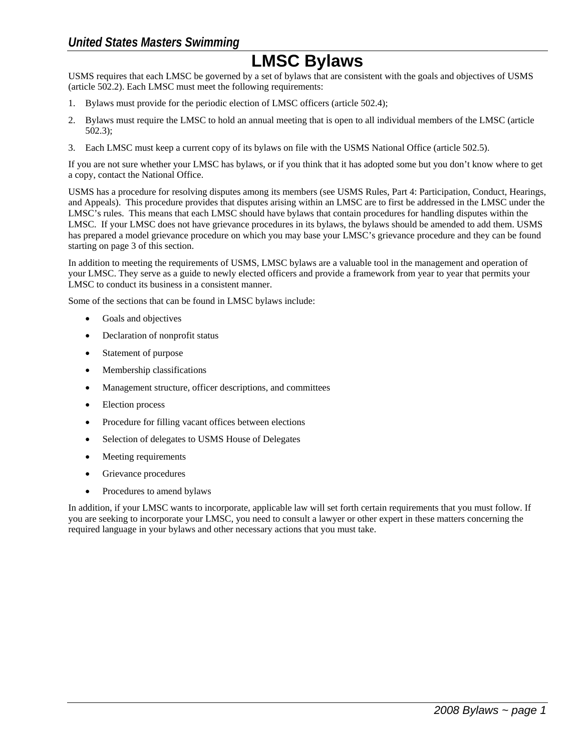## *United States Masters Swimming*

## **LMSC Bylaws**

USMS requires that each LMSC be governed by a set of bylaws that are consistent with the goals and objectives of USMS (article 502.2). Each LMSC must meet the following requirements:

- 1. Bylaws must provide for the periodic election of LMSC officers (article 502.4);
- 2. Bylaws must require the LMSC to hold an annual meeting that is open to all individual members of the LMSC (article 502.3);
- 3. Each LMSC must keep a current copy of its bylaws on file with the USMS National Office (article 502.5).

If you are not sure whether your LMSC has bylaws, or if you think that it has adopted some but you don't know where to get a copy, contact the National Office.

USMS has a procedure for resolving disputes among its members (see USMS Rules, Part 4: Participation, Conduct, Hearings, and Appeals). This procedure provides that disputes arising within an LMSC are to first be addressed in the LMSC under the LMSC's rules. This means that each LMSC should have bylaws that contain procedures for handling disputes within the LMSC. If your LMSC does not have grievance procedures in its bylaws, the bylaws should be amended to add them. USMS has prepared a model grievance procedure on which you may base your LMSC's grievance procedure and they can be found starting on page 3 of this section.

In addition to meeting the requirements of USMS, LMSC bylaws are a valuable tool in the management and operation of your LMSC. They serve as a guide to newly elected officers and provide a framework from year to year that permits your LMSC to conduct its business in a consistent manner.

Some of the sections that can be found in LMSC bylaws include:

- Goals and objectives
- Declaration of nonprofit status
- Statement of purpose
- Membership classifications
- Management structure, officer descriptions, and committees
- Election process
- Procedure for filling vacant offices between elections
- Selection of delegates to USMS House of Delegates
- Meeting requirements
- Grievance procedures
- Procedures to amend bylaws

In addition, if your LMSC wants to incorporate, applicable law will set forth certain requirements that you must follow. If you are seeking to incorporate your LMSC, you need to consult a lawyer or other expert in these matters concerning the required language in your bylaws and other necessary actions that you must take.